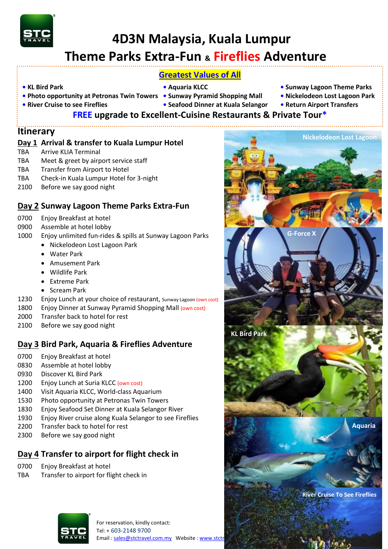

# **4D3N Malaysia, Kuala Lumpur**

# **Theme Parks Extra-Fun & Fireflies Adventure**

## **Greatest Values of All**

- -
- **• KL Bird Park Aquaria KLCC Sunway Lagoon Theme Parks**
- **• Photo opportunity at Petronas Twin Towers Sunway Pyramid Shopping Mall Nickelodeon Lost Lagoon Park**
	-
- 
- **River Cruise to see Fireflies • Seafood Dinner at Kuala Selangor Return Airport Transfers**

# **FREE upgrade to Excellent-Cuisine Restaurants & Private Tour\***

## **Itinerary**

### **Day 1 Arrival & transfer to Kuala Lumpur Hotel**

- TBA Arrive KLIA Terminal
- TBA Meet & greet by airport service staff
- TBA Transfer from Airport to Hotel
- TBA Check-in Kuala Lumpur Hotel for 3-night
- 2100 Before we say good night

# **Day 2 Sunway Lagoon Theme Parks Extra-Fun**

- 0700 Enjoy Breakfast at hotel
- 0900 Assemble at hotel lobby
- 1000 Enjoy unlimited fun-rides & spills at Sunway Lagoon Parks
	- Nickelodeon Lost Lagoon Park
		- Water Park
		- Amusement Park
		- Wildlife Park
		- Extreme Park
		- Scream Park
- 1230 Enjoy Lunch at your choice of restaurant, Sunway Lagoon (own cost)
- 1800 Enjoy Dinner at Sunway Pyramid Shopping Mall (own cost)
- 2000 Transfer back to hotel for rest
- 2100 Before we say good night

# **Day 3 Bird Park, Aquaria & Fireflies Adventure**

- 0700 Enjoy Breakfast at hotel
- 0830 Assemble at hotel lobby
- 0930 Discover KL Bird Park
- 1200 Enjoy Lunch at Suria KLCC (own cost)
- 1400 Visit Aquaria KLCC, World-class Aquarium
- 1530 Photo opportunity at Petronas Twin Towers
- 1830 Enjoy Seafood Set Dinner at Kuala Selangor River
- 1930 Enjoy River cruise along Kuala Selangor to see Fireflies
- 2200 Transfer back to hotel for rest
- 2300 Before we say good night

# **Day 4 Transfer to airport for flight check in**

0700 Enjoy Breakfast at hotel

TBA Transfer to airport for flight check in



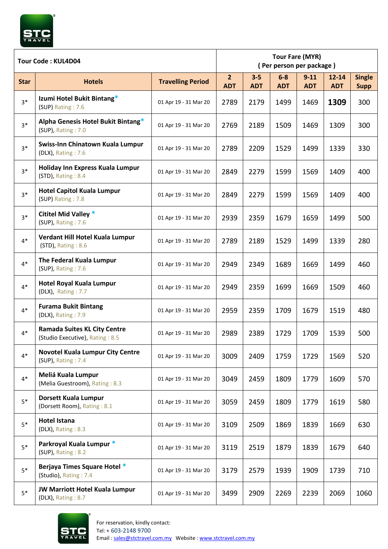

| Tour Code: KUL4D04 |                                                                        |                          |                              | <b>Tour Fare (MYR)</b><br>(Per person per package) |                     |                        |                         |                              |  |
|--------------------|------------------------------------------------------------------------|--------------------------|------------------------------|----------------------------------------------------|---------------------|------------------------|-------------------------|------------------------------|--|
| <b>Star</b>        | <b>Hotels</b>                                                          | <b>Travelling Period</b> | $\overline{2}$<br><b>ADT</b> | $3 - 5$<br><b>ADT</b>                              | $6-8$<br><b>ADT</b> | $9 - 11$<br><b>ADT</b> | $12 - 14$<br><b>ADT</b> | <b>Single</b><br><b>Supp</b> |  |
| $3*$               | Izumi Hotel Bukit Bintang*<br>(SUP) Rating: 7.6                        | 01 Apr 19 - 31 Mar 20    | 2789                         | 2179                                               | 1499                | 1469                   | 1309                    | 300                          |  |
| $3*$               | Alpha Genesis Hotel Bukit Bintang*<br>(SUP), Rating: 7.0               | 01 Apr 19 - 31 Mar 20    | 2769                         | 2189                                               | 1509                | 1469                   | 1309                    | 300                          |  |
| $3*$               | Swiss-Inn Chinatown Kuala Lumpur<br>(DLX), Rating: 7.6                 | 01 Apr 19 - 31 Mar 20    | 2789                         | 2209                                               | 1529                | 1499                   | 1339                    | 330                          |  |
| $3*$               | Holiday Inn Express Kuala Lumpur<br>(STD), Rating: 8.4                 | 01 Apr 19 - 31 Mar 20    | 2849                         | 2279                                               | 1599                | 1569                   | 1409                    | 400                          |  |
| $3*$               | <b>Hotel Capitol Kuala Lumpur</b><br>(SUP) Rating: 7.8                 | 01 Apr 19 - 31 Mar 20    | 2849                         | 2279                                               | 1599                | 1569                   | 1409                    | 400                          |  |
| $3*$               | Cititel Mid Valley *<br>(SUP), Rating: 7.6                             | 01 Apr 19 - 31 Mar 20    | 2939                         | 2359                                               | 1679                | 1659                   | 1499                    | 500                          |  |
| $4*$               | Verdant Hill Hotel Kuala Lumpur<br>(STD), Rating: 8.6                  | 01 Apr 19 - 31 Mar 20    | 2789                         | 2189                                               | 1529                | 1499                   | 1339                    | 280                          |  |
| $4*$               | The Federal Kuala Lumpur<br>(SUP), Rating: 7.6                         | 01 Apr 19 - 31 Mar 20    | 2949                         | 2349                                               | 1689                | 1669                   | 1499                    | 460                          |  |
| $4*$               | <b>Hotel Royal Kuala Lumpur</b><br>(DLX), Rating: 7.7                  | 01 Apr 19 - 31 Mar 20    | 2949                         | 2359                                               | 1699                | 1669                   | 1509                    | 460                          |  |
| $4*$               | <b>Furama Bukit Bintang</b><br>(DLX), Rating: 7.9                      | 01 Apr 19 - 31 Mar 20    | 2959                         | 2359                                               | 1709                | 1679                   | 1519                    | 480                          |  |
| $4*$               | <b>Ramada Suites KL City Centre</b><br>(Studio Executive), Rating: 8.5 | 01 Apr 19 - 31 Mar 20    | 2989                         | 2389                                               | 1729                | 1709                   | 1539                    | 500                          |  |
| $4*$               | <b>Novotel Kuala Lumpur City Centre</b><br>(SUP), Rating: 7.4          | 01 Apr 19 - 31 Mar 20    | 3009                         | 2409                                               | 1759                | 1729                   | 1569                    | 520                          |  |
| $4*$               | Meliá Kuala Lumpur<br>(Melia Guestroom), Rating: 8.3                   | 01 Apr 19 - 31 Mar 20    | 3049                         | 2459                                               | 1809                | 1779                   | 1609                    | 570                          |  |
| $5*$               | Dorsett Kuala Lumpur<br>(Dorsett Room), Rating: 8.1                    | 01 Apr 19 - 31 Mar 20    | 3059                         | 2459                                               | 1809                | 1779                   | 1619                    | 580                          |  |
| $5*$               | <b>Hotel Istana</b><br>(DLX), Rating: 8.3                              | 01 Apr 19 - 31 Mar 20    | 3109                         | 2509                                               | 1869                | 1839                   | 1669                    | 630                          |  |
| $5*$               | Parkroyal Kuala Lumpur *<br>(SUP), Rating: 8.2                         | 01 Apr 19 - 31 Mar 20    | 3119                         | 2519                                               | 1879                | 1839                   | 1679                    | 640                          |  |
| $5*$               | Berjaya Times Square Hotel *<br>(Studio), Rating: 7.4                  | 01 Apr 19 - 31 Mar 20    | 3179                         | 2579                                               | 1939                | 1909                   | 1739                    | 710                          |  |
| $5*$               | <b>JW Marriott Hotel Kuala Lumpur</b><br>(DLX), Rating: 8.7            | 01 Apr 19 - 31 Mar 20    | 3499                         | 2909                                               | 2269                | 2239                   | 2069                    | 1060                         |  |